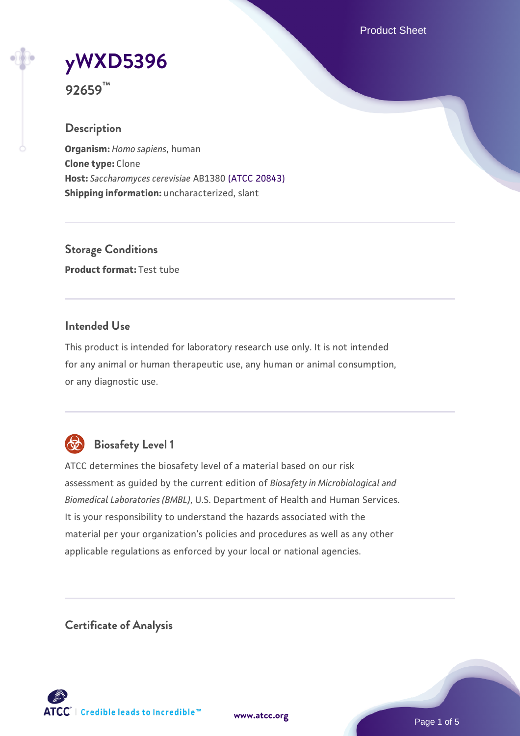Product Sheet

# **[yWXD5396](https://www.atcc.org/products/92659)**

**92659™**

# **Description**

**Organism:** *Homo sapiens*, human **Clone type:** Clone **Host:** *Saccharomyces cerevisiae* AB1380 [\(ATCC 20843\)](https://www.atcc.org/products/20843) **Shipping information:** uncharacterized, slant

**Storage Conditions Product format:** Test tube

# **Intended Use**

This product is intended for laboratory research use only. It is not intended for any animal or human therapeutic use, any human or animal consumption, or any diagnostic use.



# **Biosafety Level 1**

ATCC determines the biosafety level of a material based on our risk assessment as guided by the current edition of *Biosafety in Microbiological and Biomedical Laboratories (BMBL)*, U.S. Department of Health and Human Services. It is your responsibility to understand the hazards associated with the material per your organization's policies and procedures as well as any other applicable regulations as enforced by your local or national agencies.

**Certificate of Analysis**

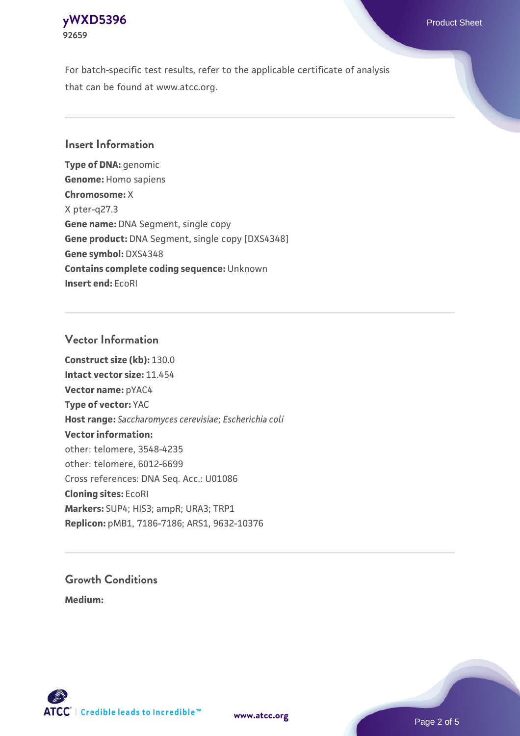#### **[yWXD5396](https://www.atcc.org/products/92659)** Product Sheet **92659**

For batch-specific test results, refer to the applicable certificate of analysis that can be found at www.atcc.org.

# **Insert Information**

**Type of DNA:** genomic **Genome:** Homo sapiens **Chromosome:** X X pter-q27.3 **Gene name:** DNA Segment, single copy **Gene product:** DNA Segment, single copy [DXS4348] **Gene symbol:** DXS4348 **Contains complete coding sequence:** Unknown **Insert end:** EcoRI

# **Vector Information**

**Construct size (kb):** 130.0 **Intact vector size:** 11.454 **Vector name:** pYAC4 **Type of vector:** YAC **Host range:** *Saccharomyces cerevisiae*; *Escherichia coli* **Vector information:** other: telomere, 3548-4235 other: telomere, 6012-6699 Cross references: DNA Seq. Acc.: U01086 **Cloning sites:** EcoRI **Markers:** SUP4; HIS3; ampR; URA3; TRP1 **Replicon:** pMB1, 7186-7186; ARS1, 9632-10376

# **Growth Conditions**

**Medium:** 



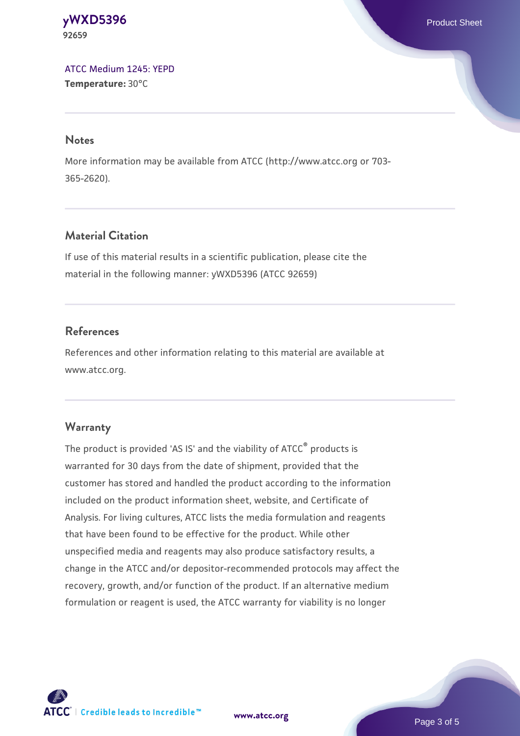**[yWXD5396](https://www.atcc.org/products/92659)** Product Sheet **92659**

[ATCC Medium 1245: YEPD](https://www.atcc.org/-/media/product-assets/documents/microbial-media-formulations/1/2/4/5/atcc-medium-1245.pdf?rev=705ca55d1b6f490a808a965d5c072196) **Temperature:** 30°C

#### **Notes**

More information may be available from ATCC (http://www.atcc.org or 703- 365-2620).

# **Material Citation**

If use of this material results in a scientific publication, please cite the material in the following manner: yWXD5396 (ATCC 92659)

# **References**

References and other information relating to this material are available at www.atcc.org.

#### **Warranty**

The product is provided 'AS IS' and the viability of ATCC® products is warranted for 30 days from the date of shipment, provided that the customer has stored and handled the product according to the information included on the product information sheet, website, and Certificate of Analysis. For living cultures, ATCC lists the media formulation and reagents that have been found to be effective for the product. While other unspecified media and reagents may also produce satisfactory results, a change in the ATCC and/or depositor-recommended protocols may affect the recovery, growth, and/or function of the product. If an alternative medium formulation or reagent is used, the ATCC warranty for viability is no longer

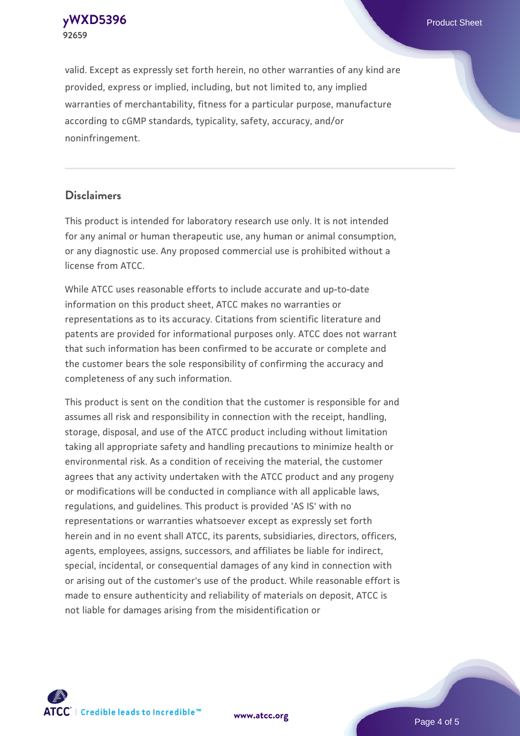**[yWXD5396](https://www.atcc.org/products/92659)** Product Sheet **92659**

valid. Except as expressly set forth herein, no other warranties of any kind are provided, express or implied, including, but not limited to, any implied warranties of merchantability, fitness for a particular purpose, manufacture according to cGMP standards, typicality, safety, accuracy, and/or noninfringement.

#### **Disclaimers**

This product is intended for laboratory research use only. It is not intended for any animal or human therapeutic use, any human or animal consumption, or any diagnostic use. Any proposed commercial use is prohibited without a license from ATCC.

While ATCC uses reasonable efforts to include accurate and up-to-date information on this product sheet, ATCC makes no warranties or representations as to its accuracy. Citations from scientific literature and patents are provided for informational purposes only. ATCC does not warrant that such information has been confirmed to be accurate or complete and the customer bears the sole responsibility of confirming the accuracy and completeness of any such information.

This product is sent on the condition that the customer is responsible for and assumes all risk and responsibility in connection with the receipt, handling, storage, disposal, and use of the ATCC product including without limitation taking all appropriate safety and handling precautions to minimize health or environmental risk. As a condition of receiving the material, the customer agrees that any activity undertaken with the ATCC product and any progeny or modifications will be conducted in compliance with all applicable laws, regulations, and guidelines. This product is provided 'AS IS' with no representations or warranties whatsoever except as expressly set forth herein and in no event shall ATCC, its parents, subsidiaries, directors, officers, agents, employees, assigns, successors, and affiliates be liable for indirect, special, incidental, or consequential damages of any kind in connection with or arising out of the customer's use of the product. While reasonable effort is made to ensure authenticity and reliability of materials on deposit, ATCC is not liable for damages arising from the misidentification or



**[www.atcc.org](http://www.atcc.org)**

Page 4 of 5